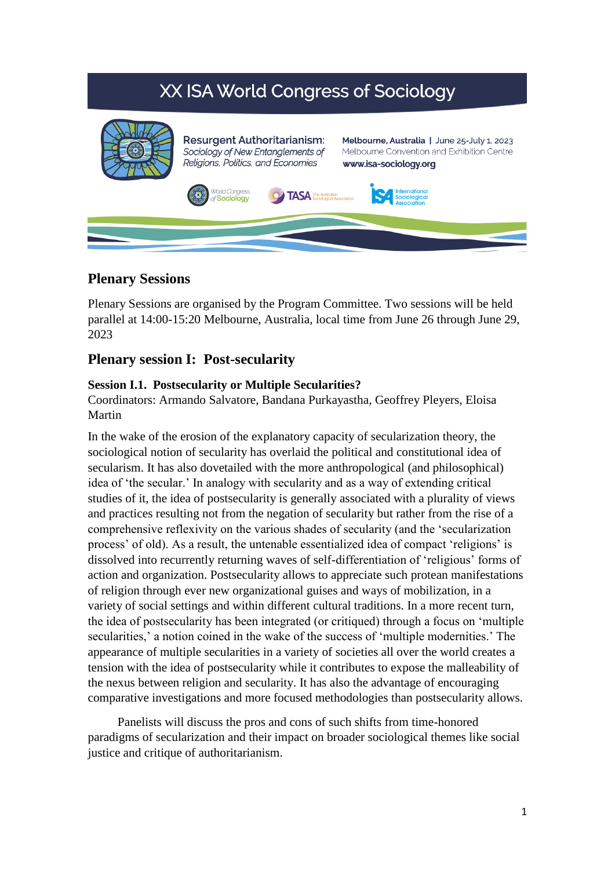# XX ISA World Congress of Sociology



# **Plenary Sessions**

Plenary Sessions are organised by the Program Committee. Two sessions will be held parallel at 14:00-15:20 Melbourne, Australia, local time from June 26 through June 29, 2023

## **Plenary session I: Post-secularity**

## **Session I.1. Postsecularity or Multiple Secularities?**

Coordinators: Armando Salvatore, Bandana Purkayastha, Geoffrey Pleyers, Eloisa Martin

In the wake of the erosion of the explanatory capacity of secularization theory, the sociological notion of secularity has overlaid the political and constitutional idea of secularism. It has also dovetailed with the more anthropological (and philosophical) idea of 'the secular.' In analogy with secularity and as a way of extending critical studies of it, the idea of postsecularity is generally associated with a plurality of views and practices resulting not from the negation of secularity but rather from the rise of a comprehensive reflexivity on the various shades of secularity (and the 'secularization process' of old). As a result, the untenable essentialized idea of compact 'religions' is dissolved into recurrently returning waves of self-differentiation of 'religious' forms of action and organization. Postsecularity allows to appreciate such protean manifestations of religion through ever new organizational guises and ways of mobilization, in a variety of social settings and within different cultural traditions. In a more recent turn, the idea of postsecularity has been integrated (or critiqued) through a focus on 'multiple secularities,' a notion coined in the wake of the success of 'multiple modernities.' The appearance of multiple secularities in a variety of societies all over the world creates a tension with the idea of postsecularity while it contributes to expose the malleability of the nexus between religion and secularity. It has also the advantage of encouraging comparative investigations and more focused methodologies than postsecularity allows.

Panelists will discuss the pros and cons of such shifts from time-honored paradigms of secularization and their impact on broader sociological themes like social justice and critique of authoritarianism.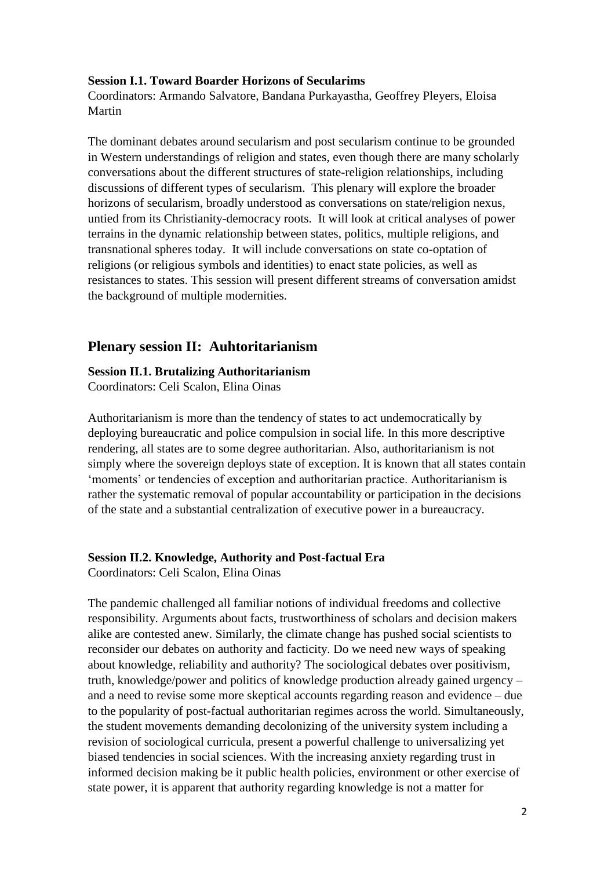#### **Session I.1. Toward Boarder Horizons of Secularims**

Coordinators: Armando Salvatore, Bandana Purkayastha, Geoffrey Pleyers, Eloisa Martin

The dominant debates around secularism and post secularism continue to be grounded in Western understandings of religion and states, even though there are many scholarly conversations about the different structures of state-religion relationships, including discussions of different types of secularism. This plenary will explore the broader horizons of secularism, broadly understood as conversations on state/religion nexus, untied from its Christianity-democracy roots. It will look at critical analyses of power terrains in the dynamic relationship between states, politics, multiple religions, and transnational spheres today. It will include conversations on state co-optation of religions (or religious symbols and identities) to enact state policies, as well as resistances to states. This session will present different streams of conversation amidst the background of multiple modernities.

## **Plenary session II: Auhtoritarianism**

#### **Session II.1. Brutalizing Authoritarianism**

Coordinators: Celi Scalon, Elina Oinas

Authoritarianism is more than the tendency of states to act undemocratically by deploying bureaucratic and police compulsion in social life. In this more descriptive rendering, all states are to some degree authoritarian. Also, authoritarianism is not simply where the sovereign deploys state of exception. It is known that all states contain 'moments' or tendencies of exception and authoritarian practice. Authoritarianism is rather the systematic removal of popular accountability or participation in the decisions of the state and a substantial centralization of executive power in a bureaucracy.

### **Session II.2. Knowledge, Authority and Post-factual Era**

Coordinators: Celi Scalon, Elina Oinas

The pandemic challenged all familiar notions of individual freedoms and collective responsibility. Arguments about facts, trustworthiness of scholars and decision makers alike are contested anew. Similarly, the climate change has pushed social scientists to reconsider our debates on authority and facticity. Do we need new ways of speaking about knowledge, reliability and authority? The sociological debates over positivism, truth, knowledge/power and politics of knowledge production already gained urgency – and a need to revise some more skeptical accounts regarding reason and evidence – due to the popularity of post-factual authoritarian regimes across the world. Simultaneously, the student movements demanding decolonizing of the university system including a revision of sociological curricula, present a powerful challenge to universalizing yet biased tendencies in social sciences. With the increasing anxiety regarding trust in informed decision making be it public health policies, environment or other exercise of state power, it is apparent that authority regarding knowledge is not a matter for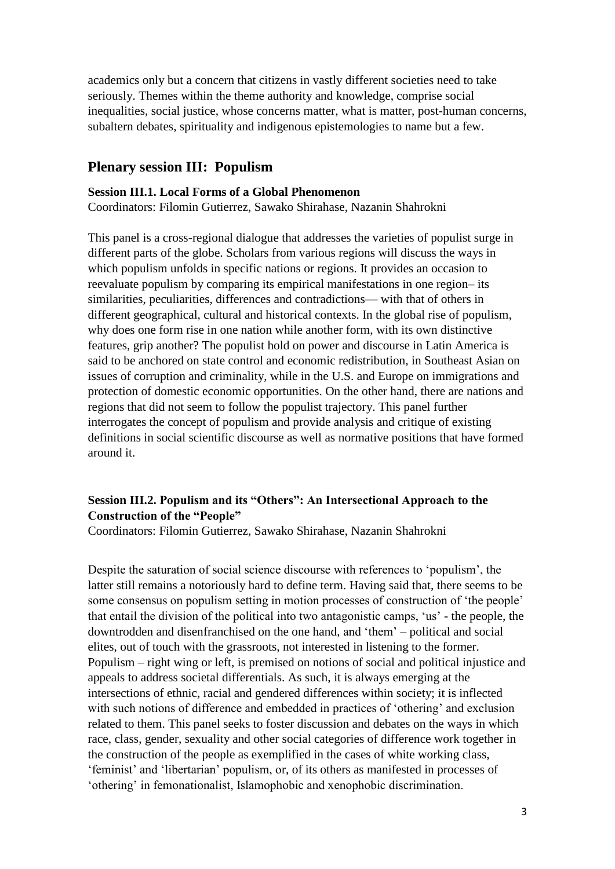academics only but a concern that citizens in vastly different societies need to take seriously. Themes within the theme authority and knowledge, comprise social inequalities, social justice, whose concerns matter, what is matter, post-human concerns, subaltern debates, spirituality and indigenous epistemologies to name but a few.

## **Plenary session III: Populism**

#### **Session III.1. Local Forms of a Global Phenomenon**

Coordinators: Filomin Gutierrez, Sawako Shirahase, Nazanin Shahrokni

This panel is a cross-regional dialogue that addresses the varieties of populist surge in different parts of the globe. Scholars from various regions will discuss the ways in which populism unfolds in specific nations or regions. It provides an occasion to reevaluate populism by comparing its empirical manifestations in one region– its similarities, peculiarities, differences and contradictions— with that of others in different geographical, cultural and historical contexts. In the global rise of populism, why does one form rise in one nation while another form, with its own distinctive features, grip another? The populist hold on power and discourse in Latin America is said to be anchored on state control and economic redistribution, in Southeast Asian on issues of corruption and criminality, while in the U.S. and Europe on immigrations and protection of domestic economic opportunities. On the other hand, there are nations and regions that did not seem to follow the populist trajectory. This panel further interrogates the concept of populism and provide analysis and critique of existing definitions in social scientific discourse as well as normative positions that have formed around it.

## **Session III.2. Populism and its "Others": An Intersectional Approach to the Construction of the "People"**

Coordinators: Filomin Gutierrez, Sawako Shirahase, Nazanin Shahrokni

Despite the saturation of social science discourse with references to 'populism', the latter still remains a notoriously hard to define term. Having said that, there seems to be some consensus on populism setting in motion processes of construction of 'the people' that entail the division of the political into two antagonistic camps, 'us' - the people, the downtrodden and disenfranchised on the one hand, and 'them' – political and social elites, out of touch with the grassroots, not interested in listening to the former. Populism – right wing or left, is premised on notions of social and political injustice and appeals to address societal differentials. As such, it is always emerging at the intersections of ethnic, racial and gendered differences within society; it is inflected with such notions of difference and embedded in practices of 'othering' and exclusion related to them. This panel seeks to foster discussion and debates on the ways in which race, class, gender, sexuality and other social categories of difference work together in the construction of the people as exemplified in the cases of white working class, 'feminist' and 'libertarian' populism, or, of its others as manifested in processes of 'othering' in femonationalist, Islamophobic and xenophobic discrimination.